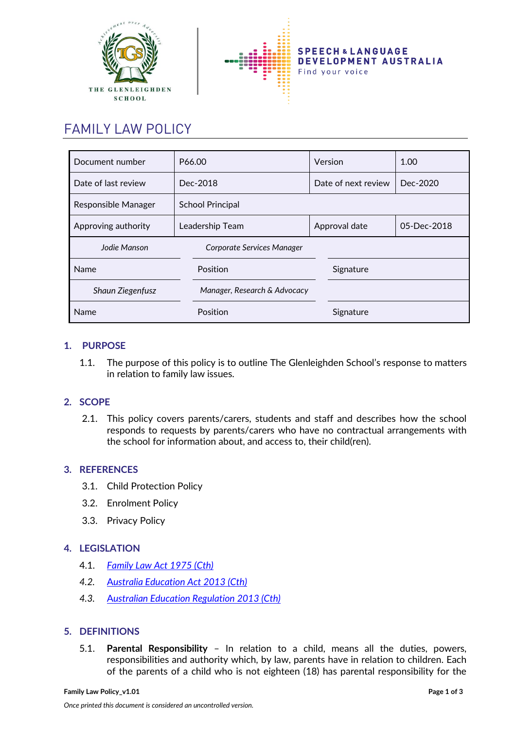



# FAMILY LAW POLICY

| Document number         | P66.00                       | Version             |           | 1.00        |  |
|-------------------------|------------------------------|---------------------|-----------|-------------|--|
| Date of last review     | Dec-2018                     | Date of next review |           | Dec-2020    |  |
| Responsible Manager     | <b>School Principal</b>      |                     |           |             |  |
| Approving authority     | Leadership Team              | Approval date       |           | 05-Dec-2018 |  |
| Jodie Manson            | Corporate Services Manager   |                     |           |             |  |
| Position<br>Name        |                              |                     | Signature |             |  |
| <b>Shaun Ziegenfusz</b> | Manager, Research & Advocacy |                     |           |             |  |
| Name                    | Position                     |                     | Signature |             |  |

# **1. PURPOSE**

1.1. The purpose of this policy is to outline The Glenleighden School's response to matters in relation to family law issues.

# **2. SCOPE**

2.1. This policy covers parents/carers, students and staff and describes how the school responds to requests by parents/carers who have no contractual arrangements with the school for information about, and access to, their child(ren).

## **3. REFERENCES**

- 3.1. Child Protection Policy
- 3.2. Enrolment Policy
- 3.3. Privacy Policy

# **4. LEGISLATION**

- 4.1. *[Family Law Act 1975 \(Cth\)](http://www8.austlii.edu.au/cgi-bin/viewdb/au/legis/cth/consol_act/fla1975114/)*
- *4.2.* A*[ustralia Education Act](https://www.legislation.gov.au/Details/C2013A00067) 2013 (Cth)*
- *4.3.* A*[ustralian Education Regulation 2013 \(Cth\)](https://www.legislation.gov.au/Details/F2013L01476)*

## **5. DEFINITIONS**

5.1. **Parental Responsibility** – In relation to a child, means all the duties, powers, responsibilities and authority which, by law, parents have in relation to children. Each of the parents of a child who is not eighteen (18) has parental responsibility for the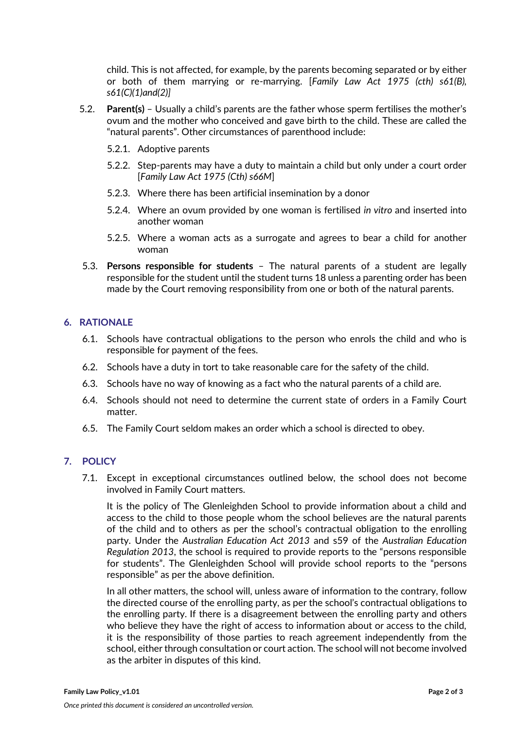child. This is not affected, for example, by the parents becoming separated or by either or both of them marrying or re-marrying. [*Family Law Act 1975 (cth) s61(B), s61(C)(1)and(2)]*

- 5.2. **Parent(s)**  Usually a child's parents are the father whose sperm fertilises the mother's ovum and the mother who conceived and gave birth to the child. These are called the "natural parents". Other circumstances of parenthood include:
	- 5.2.1. Adoptive parents
	- 5.2.2. Step-parents may have a duty to maintain a child but only under a court order [*Family Law Act 1975 (Cth) s66M*]
	- 5.2.3. Where there has been artificial insemination by a donor
	- 5.2.4. Where an ovum provided by one woman is fertilised *in vitro* and inserted into another woman
	- 5.2.5. Where a woman acts as a surrogate and agrees to bear a child for another woman
- 5.3. **Persons responsible for students** The natural parents of a student are legally responsible for the student until the student turns 18 unless a parenting order has been made by the Court removing responsibility from one or both of the natural parents.

#### **6. RATIONALE**

- 6.1. Schools have contractual obligations to the person who enrols the child and who is responsible for payment of the fees.
- 6.2. Schools have a duty in tort to take reasonable care for the safety of the child.
- 6.3. Schools have no way of knowing as a fact who the natural parents of a child are.
- 6.4. Schools should not need to determine the current state of orders in a Family Court matter.
- 6.5. The Family Court seldom makes an order which a school is directed to obey.

## **7. POLICY**

7.1. Except in exceptional circumstances outlined below, the school does not become involved in Family Court matters.

It is the policy of The Glenleighden School to provide information about a child and access to the child to those people whom the school believes are the natural parents of the child and to others as per the school's contractual obligation to the enrolling party. Under the *Australian Education Act 2013* and s59 of the *Australian Education Regulation 2013*, the school is required to provide reports to the "persons responsible for students". The Glenleighden School will provide school reports to the "persons responsible" as per the above definition.

In all other matters, the school will, unless aware of information to the contrary, follow the directed course of the enrolling party, as per the school's contractual obligations to the enrolling party. If there is a disagreement between the enrolling party and others who believe they have the right of access to information about or access to the child, it is the responsibility of those parties to reach agreement independently from the school, either through consultation or court action. The school will not become involved as the arbiter in disputes of this kind.